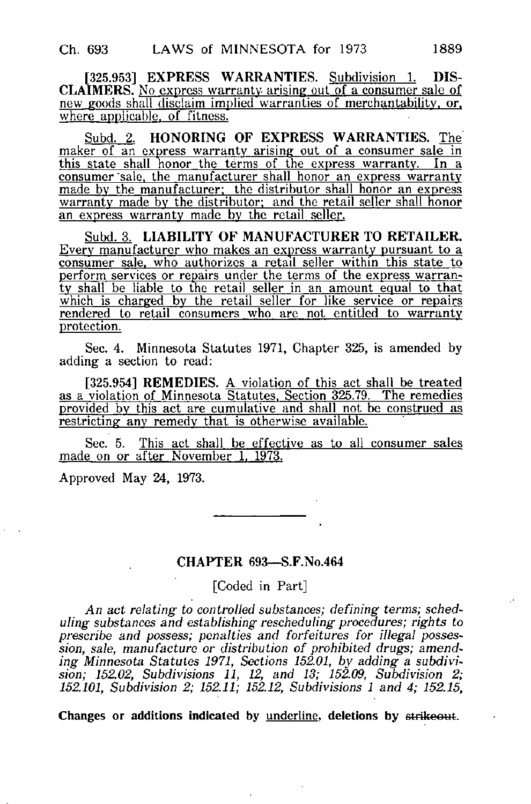[325.953] EXPRESS WARRANTIES. Subdivision 1. DIS-CLAIMERS. No express warranty, arising out of a consumer sale of new goods shall disclaim implied warranties of merchantability, or, where applicable, of fitness.

Subd. 2. HONORING OF EXPRESS WARRANTIES. The maker of an express warranty arising out of a consumer sale in this state shall honor the terms of the express warranty. In a consumer 'sale, the manufacturer shall honor an express warranty made by the manufacturer; the distributor shall honor an express warranty made by the distributor; and the retail seller shall honor an express warranty made by the retail seller.

Subd. 3. LIABILITY OF MANUFACTURER TO RETAILER. Every manufacturer who makes an express warranty pursuant to a consumer sale, who authorizes a retail seller within this state to perform services or repairs under the terms of the express warranty shall be liable to the retail seller in an amount equal to that which is charged by the retail seller for like service or repairs rendered to retail consumers who are not entitled to warranty protection.

Sec. 4. Minnesota Statutes 1971, Chapter 325, is amended by adding a section to read:

[325.954] REMEDIES. A violation of this act shall be treated as a violation of Minnesota Statutes. Section 325.79. The remedies provided by this act are cumulative and shall not be construed as restricting any remedy that is otherwise available.

Sec. 5. This act shall be effective as to all consumer sales made on or after November 1, 1973.

Approved May 24, 1973.

## CHAPTER 693—S.F.No.464

[Coded in Part]

An act relating to controlled substances; defining terms; scheduling substances and establishing rescheduling procedures; rights to prescribe and possess; penalties and forfeitures for illegal possession, sale, manufacture or distribution of prohibited drugs; amending Minnesota Statutes 1971, Sections 152.01, by adding a subdivision; 152.02, Subdivisions 11, 12, and 13; 152.09, Subdivision 2; 152.101, Subdivision 2; 152.11; 152.12, Subdivisions 1 and 4; 152.15,

Changes or additions indicated by underline, deletions by strikeout.

ï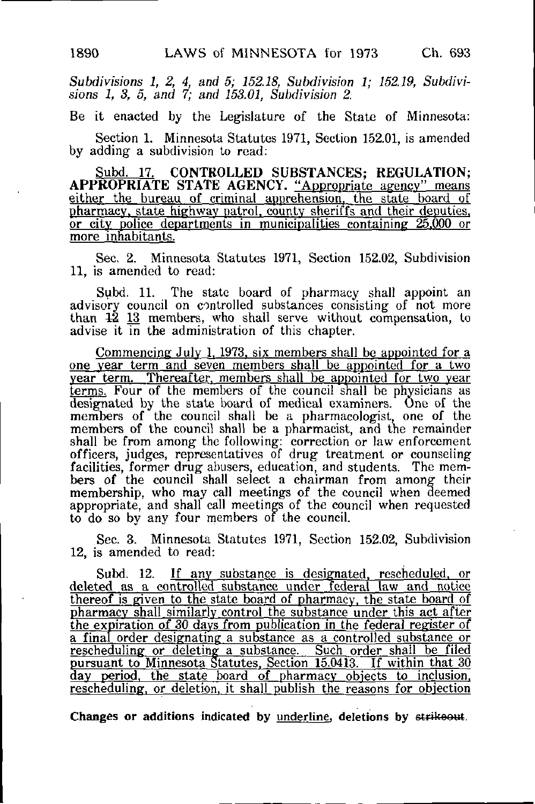Subdivisions 1, 2, 4, and 5; 152.18, Subdivision 1; 152,19, Subdivisions 1, 3, 5, and 7; and 153.01, Subdivision 2.

Be it enacted by the Legislature of the State of Minnesota:

Section 1. Minnesota Statutes 1971, Section 152.01, is amended by adding a subdivision to read:

Subd. 17. CONTROLLED SUBSTANCES; REGULATION; APPROPRIATE STATE AGENCY. "Appropriate agency" means either the bureau of criminal apprehension, the state\_ board of pharmacy, state highway patrol, county sheriffs and their deputies, or city police departments in municipalities containing 25.000 or more inhabitants.

Sec. 2. Minnesota Statutes 1971, Section 152.02, Subdivision 11, is amended to read:

Subd. 11. The state board of pharmacy shall appoint an advisory council on controlled substances consisting of not more than  $12 \tfrac{13}{13}$  members, who shall serve without compensation, to advise it in the administration of this chapter.

Commencing July 1, 1973, six members shall be appointed for a one vear term and seven members shall be appointed for a two year term. Thereafter, members shall be appointed for two year terms. Four of the members of the council shall be physicians as designated by the state board of medical examiners. One of the members of the council shall be a pharmacologist, one of the members of the council shall be a pharmacist, and the remainder shall be from among the following: correction or law enforcement officers, judges, representatives of drug treatment or counseling facilities, former drug abusers, education, and students. The members of the council shall select a chairman from among their membership, who may call meetings of the council when deemed appropriate, and shall call meetings of the council when requested to do so by any four members of the council.

Sec. 3. Minnesota Statutes 1971, Section 152.02, Subdivision 12, is amended to read:

Subd. 12. If any substance is designated, rescheduled, or deleted as a controlled substance under federal law and notice thereof is given to the state board of pharmacy, the state board of pharmacy shall similarly control the substance under this act after the expiration of 30 days from publication in the federal register of a final order designating a substance as a controlled substance or rescheduling or deleting a substance. Such order shall be filed pursuant to Minnesota Statutes, Section 15.0413. If within that 30 day period, the state board of pharmacy objects to inclusion, rescheduling, or deletion, it shall publish the reasons for objection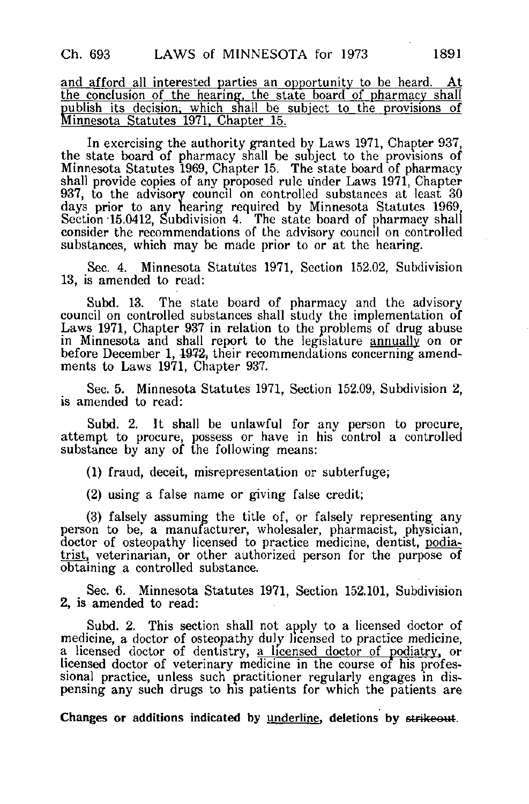and afford all interested parties an opportunity to be heard. At the conclusion of the hearing, the state board of pharmacy shall publish its decision, which shall be subject to the provisions of Minnesota Statutes 1971. Chapter 15.

In exercising the authority granted by Laws 1971, Chapter 937, the state board of pharmacy shall be subject to the provisions of Minnesota Statutes 1969, Chapter 15. The state board of pharmacy shall provide copies of any proposed rule under Laws 1971, Chapter 937, to the advisory council on controlled substances at least 30 days prior to any hearing required by Minnesota Statutes 1969 Section 15.0412, Subdivision 4. The state board of pharmacy shall consider the recommendations of the advisory council on controlled substances, which may be made prior to or at the hearing.

Sec. 4. Minnesota Statutes 1971, Section 152.02, Subdivision 13, is amended to read:

Subd. 13. The state board of pharmacy and the advisory council on controlled substances shall study the implementation of Laws 1971, Chapter 937 in relation to the problems of drug abuse in Minnesota and shall report to the legislature annually on or before December 1, 1972, their recommendations concerning amendments to Laws 1971, Chapter 937.

Sec. 5. Minnesota Statutes 1971, Section 152.09, Subdivision 2, is amended to read:

Subd. 2. It shall be unlawful for any person to procure, attempt to procure, possess or have in his control a controlled substance by any of the following means:

(1) fraud, deceit, misrepresentation or subterfuge;

(2) using a false name or giving false credit;

(3) falsely assuming the title of, or falsely representing any person to be, a manufacturer, wholesaler, pharmacist, physician, doctor of osteopathy licensed to practice medicine, dentist, podiatrist, veterinarian, or other authorized person for the purpose of obtaining a controlled substance.

Sec. 6. Minnesota Statutes 1971, Section 152.101, Subdivision 2, is amended to read:

Subd. 2. This section shall not apply to a licensed doctor of medicine, a doctor of osteopathy duly licensed to practice medicine, a licensed doctor of dentistry, a licensed doctor of podiatry, or licensed doctor of veterinary medicine in the course of his professional practice, unless such practitioner regularly engages in dispensing any such drugs to his patients for which the patients are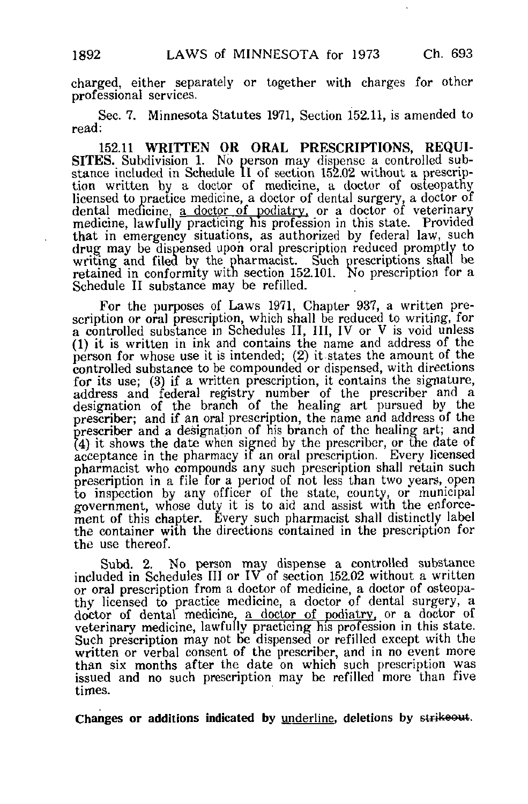charged, either separately or together with charges for other professional services.

Sec. 7. Minnesota Statutes 1971, Section 152.11, is amended to read:

152.11 WRITTEN OR ORAL PRESCRIPTIONS, REQUI-SITES. Subdivision 1. No person may dispense a controlled substance included in Schedule II of section 152.02 without a prescription written by a doctor of medicine, a doctor of osteopathy licensed to practice medicine, a doctor of dental surgery, a doctor of dental medicine, a doctor of podiatry, or a doctor of veterinary medicine, lawfully practicing his profession in this state. Provided that in emergency situations, as authorized by federal law, such drug may be dispensed upon oral prescription reduced promptly to writing and filed by the pharmacist. Such prescriptions shall be retained in conformity witn section 152.101. No prescription for a Schedule II substance may be refilled.

For the purposes of Laws 1971, Chapter 937, a written prescription or oral prescription, which shall be reduced to writing, for a controlled substance in Schedules II, III, IV or V is void unless (1) it is written in ink and contains the name and address of the person for whose use it is intended; (2) it states the amount of the controlled substance to be compounded or dispensed, with directions for its use; (3) if a written prescription, it contains the signature, address and federal registry number of the prescriber and a designation of the branch of the healing art pursued by the prescriber; and if an oral prescription, the name and address of the prescriber and a designation of his branch of the healing art; and (4) it shows the date when signed by the prescriber, or the date of acceptance in the pharmacy if an oral prescription. Every licensed pharmacist who compounds any such prescription shall retain such prescription in a file for a period of not less than two years, open to inspection by any officer of the state, county, or municipal government, whose duty it is to aid and assist with the enforcement of this chapter. Every such pharmacist shall distinctly label the container with the directions contained in the prescription for the use thereof.

Subd. 2. No person may dispense a controlled substance included in Schedules III or IV of section 152.02 without a written or oral prescription from a doctor of medicine, a doctor of osteopathy licensed to practice medicine, a doctor of dental surgery, a doctor of dental medicine, a doctor of podiatry, or a doctor of veterinary medicine, lawfully practicing his profession in this state. Such prescription may not be dispensed or refilled except with the written or verbal consent of the prescriber, and in no event more than six months after the date on which such prescription was issued and no such prescription may be refilled more than five times.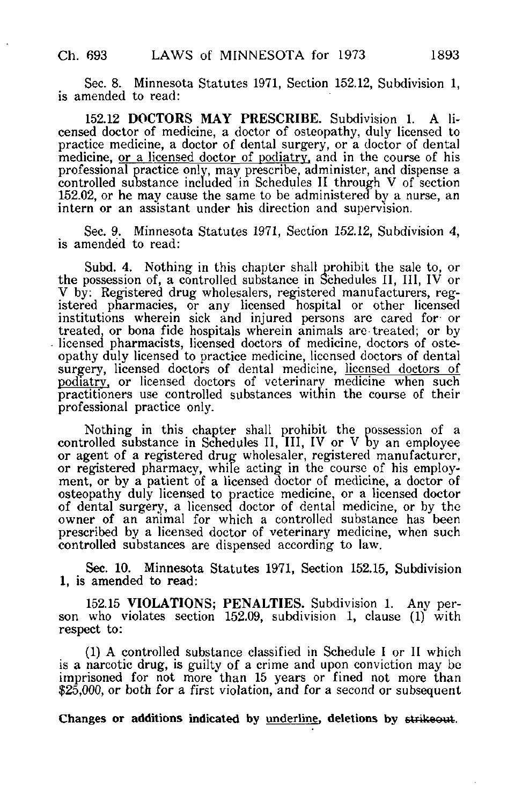Sec. 8. Minnesota Statutes 1971, Section 152.12, Subdivision 1, is amended to read:

152.12 DOCTORS MAY PRESCRIBE. Subdivision 1. A licensed doctor of medicine, a doctor of osteopathy, duly licensed to practice medicine, a doctor of dental surgery, or a doctor of dental medicine, <u>or a licensed</u> doctor of podiatry, and in the course of his professional practice only, may prescribe, administer, and dispense a controlled substance included in Schedules II through V of section 152.02, or he may cause the same to be administered by a nurse, an intern or an assistant under his direction and supervision.

Sec. 9. Minnesota Statutes 1971, Section 152.12, Subdivision 4, is amended to read:

Subd. 4. Nothing in this chapter shall prohibit the sale to, or the possession of, a controlled substance in Schedules II, III, IV or V by: Registered drug wholesalers, registered manufacturers, registered pharmacies, or any licensed hospital or other licensed institutions wherein sick and injured persons are cared for or treated, or bona fide hospitals wherein animals are treated; or by licensed pharmacists, licensed doctors of medicine, doctors of osteopathy duly licensed to practice medicine, licensed doctors of dental surgery, licensed doctors of dental medicine, licensed doctors of podiatry, or licensed doctors of veterinary medicine when such practitioners use controlled substances within the course of their professional practice only.

Nothing in this chapter shall prohibit the possession of a controlled substance in Schedules II, III, IV or V by an employee or agent of a registered drug wholesaler, registered manufacturer, or registered pharmacy, while acting in the course of his employment, or by a patient of a licensed doctor of medicine, a doctor of osteopathy duly licensed to practice medicine, or a licensed doctor of dental surgery, a licensed doctor of dental medicine, or by the owner of an animal for which a controlled substance has been prescribed by a licensed doctor of veterinary medicine, when such controlled substances are dispensed according to law.

Sec. 10. Minnesota Statutes 1971, Section 152.15, Subdivision 1, is amended to read:

152.15 VIOLATIONS; PENALTIES. Subdivision 1. Any person who violates section 152.09, subdivision 1, clause (1) with respect to:

(1) A controlled substance classified in Schedule I or II which is a narcotic drug, is guilty of a crime and upon conviction may be imprisoned for not more than 15 years or fined not more than \$25,000, or both for a first violation, and for a second or subsequent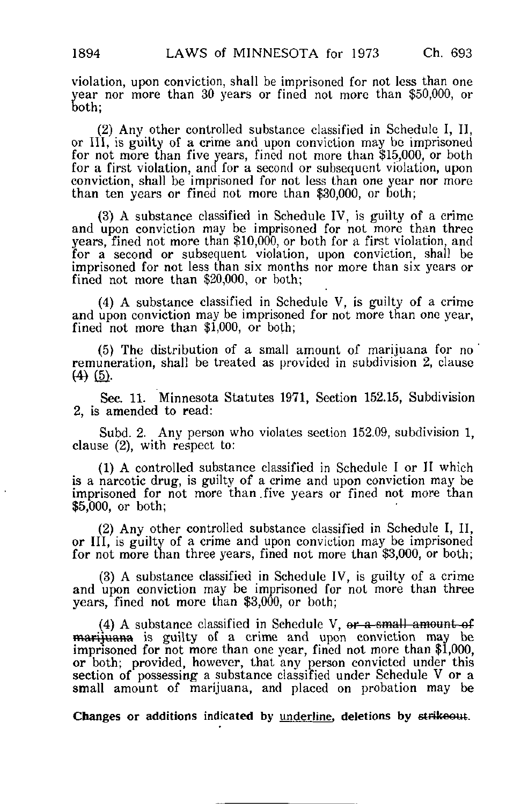violation, upon conviction, shall be imprisoned for not less than one year nor more than 30 years or fined not more than \$50,000, or both;

(2) Any other controlled substance classified in Schedule I, II, or III, is guilty of a crime and upon conviction may be imprisoned for not more than five years, fined not more than \$15,000, or both for a first violation, and for a second or subsequent violation, upon conviction, shall be imprisoned for not less than one year nor more than ten years or fined not more than \$30,000, or both;

(3) A substance classified in Schedule IV, is guilty of a crime and upon conviction may be imprisoned for not more than three years, fined not more than \$10,000, or both for a first violation, and for a second or subsequent violation, upon conviction, shall be imprisoned for not less than six months nor more than six years or fined not more than \$20,000, or both;

(4) A substance classified in Schedule V, is guilty of a crime and upon conviction may be imprisoned for not more than one year, fined not more than \$1,000, or both;

(5) The distribution of a small amount of marijuana for no remuneration, shall be treated as provided in subdivision 2, clause  $(4)$   $(5)$ .

Sec. 11. Minnesota Statutes 1971, Section 152.15, Subdivision 2, is amended to read:

Subd. 2. Any person who violates section 152.09, subdivision 1, clause (2), with respect to:

(1) A controlled substance classified in Schedule I or II which is a narcotic drug, is guilty of a crime and upon conviction may be imprisoned for not more than five years or fined not more than \$5,000, or both;

(2) Any other controlled substance classified in Schedule I, II, or III, is guilty of a crime and upon conviction may be imprisoned for not more than three years, fined not more than \$3,000, or both;

(3) A substance classified in Schedule IV, is guilty of a crime and upon conviction may be imprisoned for not more than three years, fined not more than \$3,000, or both;

(4) A substance classified in Schedule V,  $or$  a small amount of marijuana is guilty of a crime and upon conviction may be imprisoned for not more than one year, fined not more than \$1,000, or both; provided, however, that any person convicted under this section of possessing a substance classified under Schedule V or a small amount of marijuana, and placed on probation may be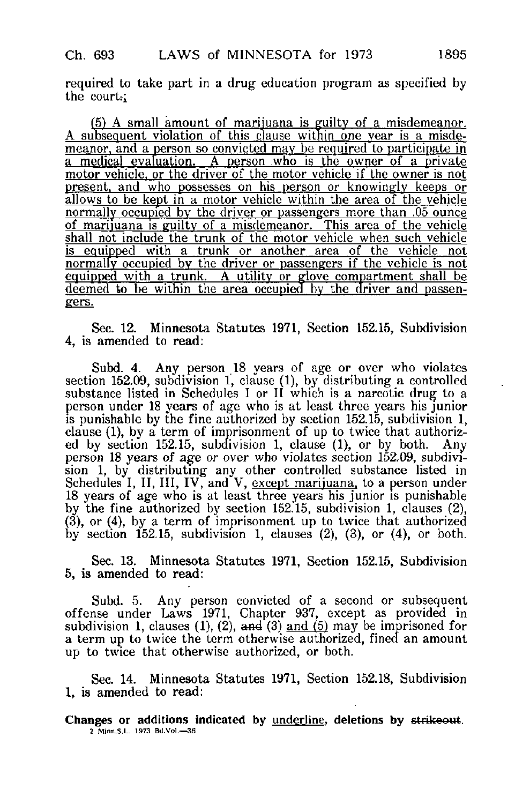required to take part in a drug education program as specified by the court:

(5) A small amount of marijuana is guilty of a misdemeanor. A subsequent violation of this Clause within one year is a misdemeanor, and a person so convicted may be required to participate in a medical evaluation. A person who is the owner of a private motor vehicle, or the driver of the motor vehicle if the owner is not present, and who possesses on his person or knowingly keeps or allows to be kept in a motor vehicle within the area of the vehicle normally occupied by the driver or passengers more than .05 ounce of marijuana is guilty of a misdemeanor. This area of the vehicle shall not include the trunk of the motor vehicle when such vehicle is equipped with a trunk or another area of the vehicle not normally occupied by the driver or passengers if the vehicle is not equipped with a trunk. A utility or glove compartment shall be deemed to be within the area occupied by the driver and passen-<br>gers.

Sec. 12. Minnesota Statutes 1971, Section 152.15, Subdivision 4, is amended to read:

Subd. 4. Any person 18 years of age or over who violates section 152.09, subdivision 1, clause (1), by distributing a controlled substance listed in Schedules I or II which is a narcotic drug to a person under 18 years of age who is at least three years his junior is punishable by the fine authorized by section 152.15, subdivision 1, clause (1), by a term of imprisonment of up to twice that authorized by section 152.15, subdivision 1, clause (1), or by both. Any person 18 years of age or over who violates section 152.09, subdivision 1, by distributing any other controlled substance listed in Schedules I, II, III, IV, and V, <u>except marijuana</u>, to a person under 18 years of age who is at least three years his junior is punishable by the fine authorized by section 152.15, subdivision 1, clauses (2), (3), or (4), by a term of imprisonment up to twice that authorized by section  $152.15$ , subdivision 1, clauses  $(2)$ ,  $(3)$ , or  $(4)$ , or both.

Sec. 13. Minnesota Statutes 1971, Section 152.15, Subdivision 5, is amended to read:

Subd. 5. Any person convicted of a second or subsequent offense under Laws 1971, Chapter 937, except as provided in subdivision 1, clauses (1), (2), and (3) and (5) may be imprisoned for a term up to twice the term otherwise authorized, fined an amount up to twice that otherwise authorized, or both.

Sec. 14. Minnesota Statutes 1971, Section 152.18, Subdivision 1, is amended to read:

Changes or additions indicated by underline, deletions by strikeout. 2 Minn,S.L. 1973 Bd.Vol,—36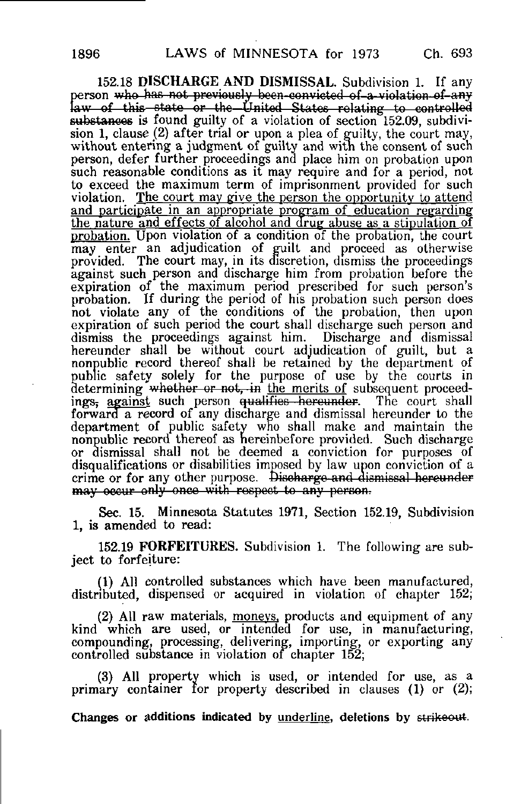152.18 DISCHARGE AND DISMISSAL. Subdivision 1. If any person who has not previously been-convicted of a violation of any law of this state or the United States relating to controlled substances is found guilty of a violation of section 152.09, subdivision 1, clause (2) after trial or upon a plea of guilty, the court may, without entering a judgment of guilty and with the consent of such person, defer further proceedings and place him on probation upon such reasonable conditions as it may require and for a period, not to exceed the maximum term of imprisonment provided for such violation. The court may give the person the opportunity to attend and participate in an appropriate program of education regarding the nature and effects of alcohol and drug abuse as a stipulation of probation. Upon violation of a condition of the probation, the court may enter an adjudication of guilt and proceed as otherwise provided. The court may, in its discretion, dismiss the proceedings against such person and discharge him from probation before the expiration of the maximum period prescribed for such person's probation. If during the period of his probation such person does not violate any of the conditions of the probation, then upon expiration of such period the court shall discharge such person and dismiss the proceedings against him. Discharge and dismissal dismiss the proceedings against him. hereunder shall be without court adjudication of guilt, but a nonpublic record thereof shall be retained by the department of public safety solely for the purpose of use by the courts in determining whether or not, in the merits of subsequent proceedings, against such person qualifies hereunder. The court shall forward a record of any discharge and dismissal hereunder to the department of public safety who shall make and maintain the nonpublic record thereof as hereinbefore provided. Such discharge or dismissal shall not be deemed a conviction for purposes of disqualifications or disabilities imposed by law upon conviction of a crime or for any other purpose. Discharge and dismissal hereunder may occur only once with respect to any person.

Sec. 15. Minnesota Statutes 1971, Section 152.19, Subdivision 1, is amended to read:

152.19 FORFEITURES. Subdivision 1. The following are subject to forfeiture:

(1) All controlled substances which have been manufactured, distributed, dispensed or acquired in violation of chapter 152;

(2) All raw materials, moneys, products and equipment of any kind which are used, or intended for use, in manufacturing, compounding, processing, delivering, importing, or exporting any controlled substance in violation of chapter 152;

(3) All property which is used, or intended for use, as a primary container for property described in clauses (1) or (2);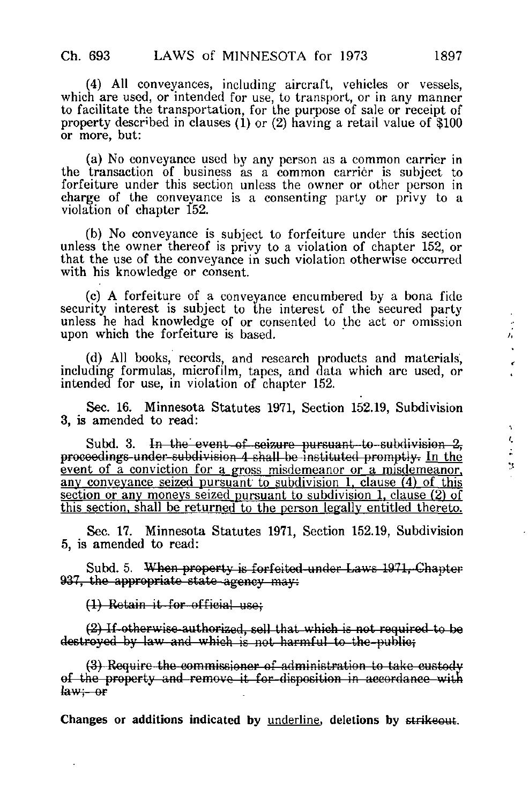(4) All conveyances, including aircraft, vehicles or vessels, which are used, or intended for use, to transport, or in any manner to facilitate the transportation, for the purpose of sale or receipt of property described in clauses (1) or (2) having a retail value of  $\$100$ or more, but:

(a) No conveyance used by any person as a common carrier in the transaction of business as a common carrier is subject to forfeiture under this section unless the owner or other person in charge of the conveyance is a consenting party or privy to a violation of chapter 152.

(b) No conveyance is subject to forfeiture under this section unless the owner thereof is privy to a violation of chapter 152, or that the use of the conveyance in such violation otherwise occurred with his knowledge or consent.

(c) A forfeiture of a conveyance encumbered by a bona fide security interest is subject to the interest of the secured party unless he had knowledge of or consented to the act or omission upon which the forfeiture is based.

(d) All books, records, and research products and materials, including formulas, microfilm, tapes, and data which are used, or intended for use, in violation of chapter 152.

Sec. 16. Minnesota Statutes 1971, Section 152.19, Subdivision 3, is amended to read:

Subd. 3. In the event of seizure pursuant to subdivision 2, procoodings-under-subdivision 4 shall be instituted promptly. In the event of a conviction for a gross misdemeanor or a misdemeanor, any conveyance seized pursuant to subdivision 1. clause (4) of this section or any moneys seized pursuant to subdivision 1. clause (2) of this section, shall be returned to the person legally entitled thereto.

Sec. 17. Minnesota Statutes 1971, Section 152.19, Subdivision 5, is amended to read:

Subd. 5. When property is forfeited-under Laws 1971, Chapter 937, the appropriate state agency may:

(1) Retain it-for official use;

(2) If otherwise authorised, coll that which is not required to bo destroyed by law and which is not harmful to the public;

(3) Require the commissioner of administration to take custody of the property and remove it for-disposition in accordance with  $law - or$ 

Changes or additions indicated by underline, deletions by strikeout.

t,  $\ddot{\cdot}$  $\mathbf{S}$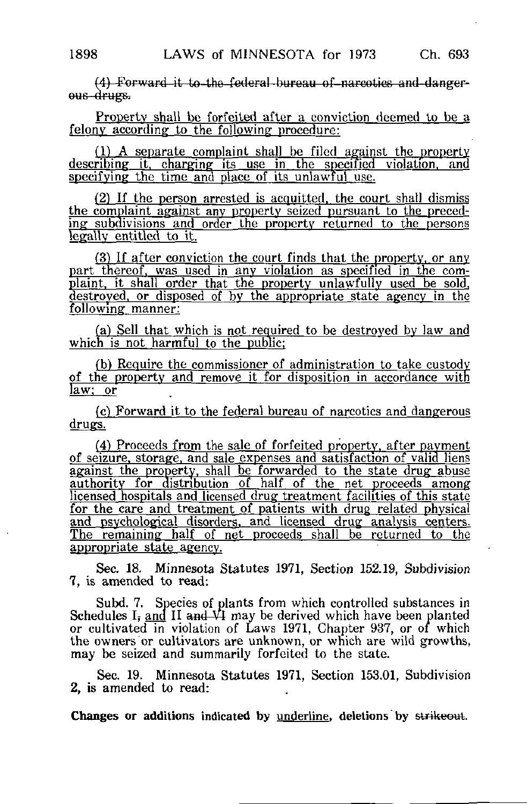(4) Forward it to the federal bureau of narcotics and dangerous drugs.

Property shall be forfeited after a conviction deemed to be a felony according to the following procedure:

 $(1)$  A separate complaint shall be filed against the property describing it, charging its use in the specified violation, and specifying the time and place of its unlawful use.

(2) If the person arrested is acquitted, the court shall dismiss the complaint against any property seized pursuant to the preceding subdivisions and order the property returned to the persons legally entitled to it.

 $(3)$  If after conviction the court finds that the property, or any part thereof, was used in any violation as specified in the complaint, it shall order that the property unlawfully used be sold, destroyed, or disposed of bv the appropriate state agency in the following manner:

(a) Sell that which is not required to be destroyed by law and which is not harmful to the public;

(b) Require the commissioner of administration to take custody of the property and remove it for disposition in accordance with law; or

fc) Forward it to the federal bureau of narcotics and dangerous drugs.

(4) Proceeds from the sale of forfeited property, after payment of seizure, storage, and sale expenses and satisfaction of valid liens against the property, shall be forwarded to the state drug abuse authority for distribution of half of the net proceeds among: licensed hospitals and licensed drug treatment facilities of this state for the care and treatment of patients with drug related physical and psychological disorders, and licensed drug analysis centers. The remaining half of net proceeds shall be returned to the appropriate state agency.

Sec. 18. Minnesota Statutes 1971, Section 152.19, Subdivision 7, is amended to read:

Subd. 7. Species of plants from which controlled substances in Schedules I<sub>i</sub> and II and VI may be derived which have been planted or cultivated in violation of Laws 1971, Chapter 937, or of which the owners or cultivators are unknown, or which are wild growths, may be seized and summarily forfeited to the state.

Sec. 19. Minnesota Statutes 1971, Section 153.01, Subdivision 2, is amended to read: